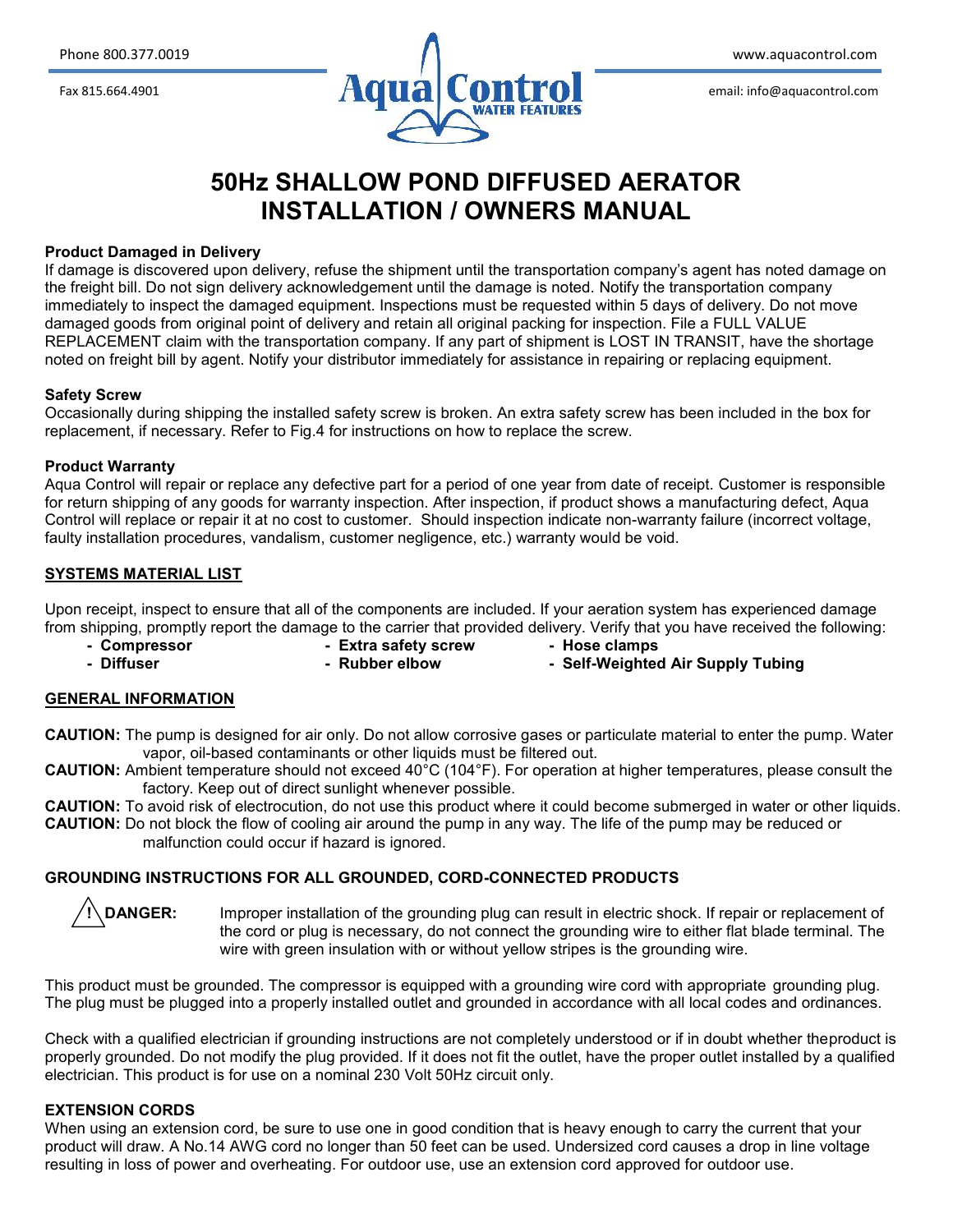

# **50Hz SHALLOW POND DIFFUSED AERATOR INSTALLATION / OWNERS MANUAL**

#### **Product Damaged in Delivery**

If damage is discovered upon delivery, refuse the shipment until the transportation company's agent has noted damage on the freight bill. Do not sign delivery acknowledgement until the damage is noted. Notify the transportation company immediately to inspect the damaged equipment. Inspections must be requested within 5 days of delivery. Do not move damaged goods from original point of delivery and retain all original packing for inspection. File a FULL VALUE REPLACEMENT claim with the transportation company. If any part of shipment is LOST IN TRANSIT, have the shortage noted on freight bill by agent. Notify your distributor immediately for assistance in repairing or replacing equipment.

#### **Safety Screw**

Occasionally during shipping the installed safety screw is broken. An extra safety screw has been included in the box for replacement, if necessary. Refer to Fig.4 for instructions on how to replace the screw.

#### **Product Warranty**

Aqua Control will repair or replace any defective part for a period of one year from date of receipt. Customer is responsible for return shipping of any goods for warranty inspection. After inspection, if product shows a manufacturing defect, Aqua Control will replace or repair it at no cost to customer. Should inspection indicate non-warranty failure (incorrect voltage, faulty installation procedures, vandalism, customer negligence, etc.) warranty would be void.

# **SYSTEMS MATERIAL LIST**

Upon receipt, inspect to ensure that all of the components are included. If your aeration system has experienced damage from shipping, promptly report the damage to the carrier that provided delivery. Verify that you have received the following:

- 
- **- Compressor - Extra safety screw - Hose clamps**
	- **- Diffuser - Rubber elbow - Self-Weighted Air Supply Tubing**
- 
- **GENERAL INFORMATION**
- **CAUTION:** The pump is designed for air only. Do not allow corrosive gases or particulate material to enter the pump. Water vapor, oil-based contaminants or other liquids must be filtered out.
- **CAUTION:** Ambient temperature should not exceed 40°C (104°F). For operation at higher temperatures, please consult the factory. Keep out of direct sunlight whenever possible.
- **CAUTION:** To avoid risk of electrocution, do not use this product where it could become submerged in water or other liquids. **CAUTION:** Do not block the flow of cooling air around the pump in any way. The life of the pump may be reduced or malfunction could occur if hazard is ignored.

## **GROUNDING INSTRUCTIONS FOR ALL GROUNDED, CORD-CONNECTED PRODUCTS**

**DANGER:** Improper installation of the grounding plug can result in electric shock. If repair or replacement of the cord or plug is necessary, do not connect the grounding wire to either flat blade terminal. The wire with green insulation with or without yellow stripes is the grounding wire.

This product must be grounded. The compressor is equipped with a grounding wire cord with appropriate grounding plug. The plug must be plugged into a properly installed outlet and grounded in accordance with all local codes and ordinances.

Check with a qualified electrician if grounding instructions are not completely understood or if in doubt whether theproduct is properly grounded. Do not modify the plug provided. If it does not fit the outlet, have the proper outlet installed by a qualified electrician. This product is for use on a nominal 230 Volt 50Hz circuit only.

## **EXTENSION CORDS**

When using an extension cord, be sure to use one in good condition that is heavy enough to carry the current that your product will draw. A No.14 AWG cord no longer than 50 feet can be used. Undersized cord causes a drop in line voltage resulting in loss of power and overheating. For outdoor use, use an extension cord approved for outdoor use.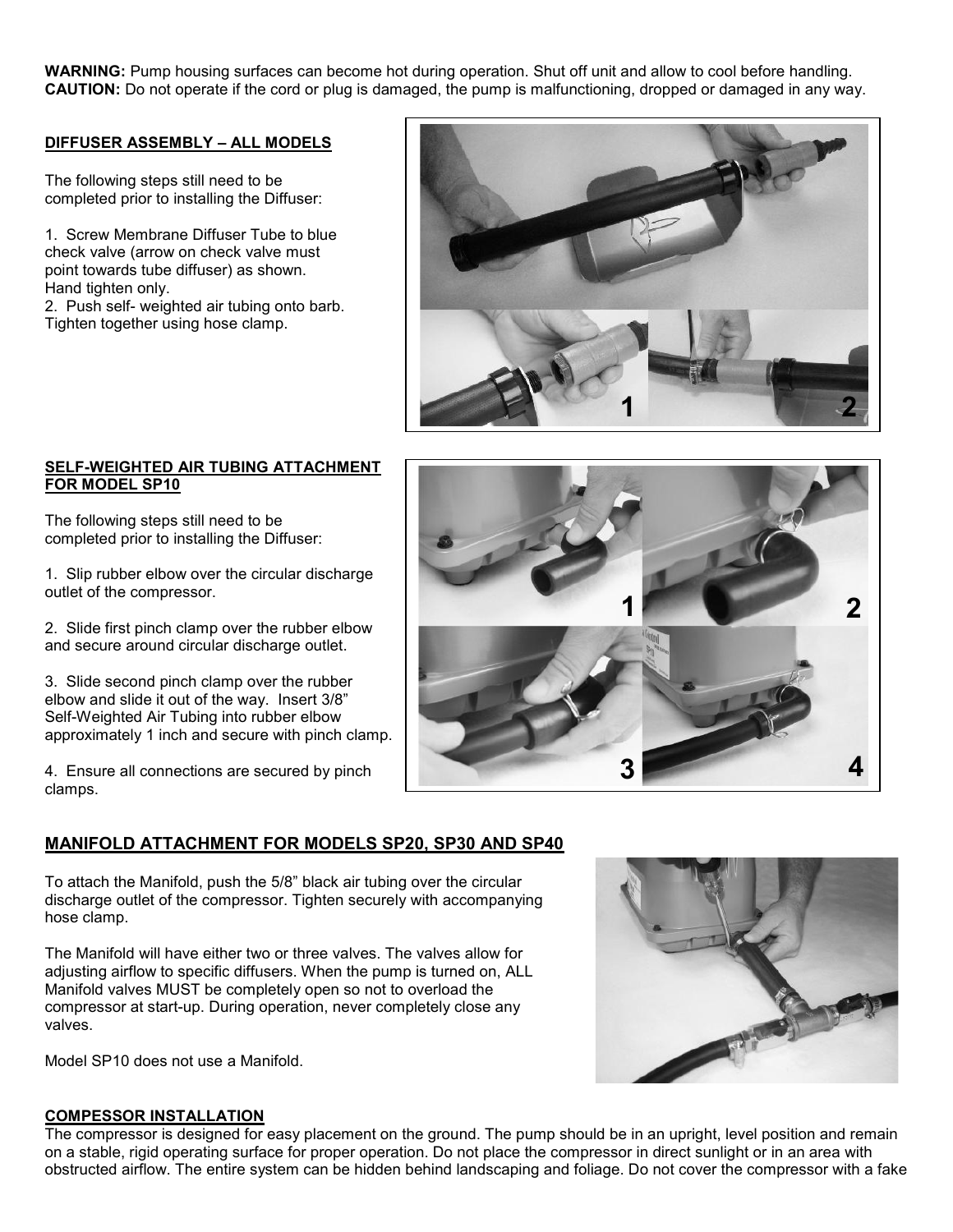**WARNING:** Pump housing surfaces can become hot during operation. Shut off unit and allow to cool before handling. **CAUTION:** Do not operate if the cord or plug is damaged, the pump is malfunctioning, dropped or damaged in any way.

## **DIFFUSER ASSEMBLY –ALL MODELS**

The following steps still need to be completed prior to installing the Diffuser:

1. Screw Membrane Diffuser Tube to blue check valve (arrow on check valve must point towards tube diffuser) as shown. Hand tighten only.

2. Push self- weighted air tubing onto barb. Tighten together using hose clamp.



## **SELF-WEIGHTED AIR TUBING ATTACHMENT FOR MODEL SP10**

The following steps still need to be completed prior to installing the Diffuser:

1. Slip rubber elbow over the circular discharge outlet of the compressor.

2. Slide first pinch clamp over the rubber elbow and secure around circular discharge outlet.

3. Slide second pinch clamp over the rubber elbow and slide it out of the way. Insert 3/8" Self-Weighted Air Tubing into rubber elbow approximately 1 inch and secure with pinch clamp.

4. Ensure all connections are secured by pinch clamps.



To attach the Manifold, push the 5/8" black air tubing over the circular discharge outlet of the compressor. Tighten securely with accompanying hose clamp.

The Manifold will have either two or three valves. The valves allow for adjusting airflow to specific diffusers. When the pump is turned on, ALL Manifold valves MUST be completely open so not to overload the compressor at start-up. During operation, never completely close any valves.

Model SP10 does not use a Manifold.



# **COMPESSOR INSTALLATION**

The compressor is designed for easy placement on the ground. The pump should be in an upright, level position and remain on a stable, rigid operating surface for proper operation. Do not place the compressor in direct sunlight or in an area with obstructed airflow. The entire system can be hidden behind landscaping and foliage. Do not cover the compressor with a fake

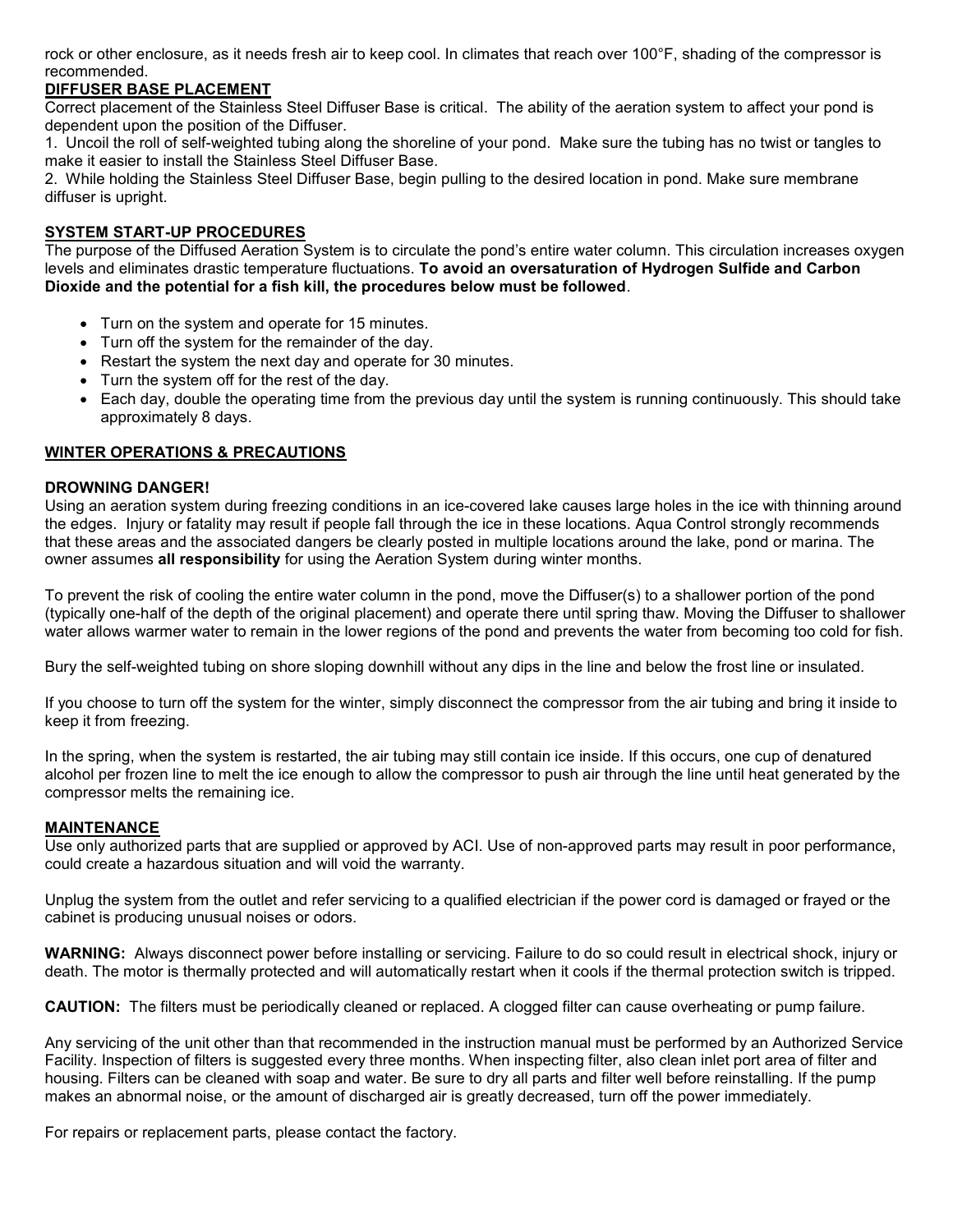rock or other enclosure, as it needs fresh air to keep cool. In climates that reach over 100°F, shading of the compressor is recommended.

# **DIFFUSER BASE PLACEMENT**

Correct placement of the Stainless Steel Diffuser Base is critical. The ability of the aeration system to affect your pond is dependent upon the position of the Diffuser.

1. Uncoil the roll of self-weighted tubing along the shoreline of your pond. Make sure the tubing has no twist or tangles to make it easier to install the Stainless Steel Diffuser Base.

2. While holding the Stainless Steel Diffuser Base, begin pulling to the desired location in pond. Make sure membrane diffuser is upright.

# **SYSTEM START-UP PROCEDURES**

The purpose of the Diffused Aeration System is to circulate the pond's entire water column. This circulation increases oxygen levels and eliminates drastic temperature fluctuations. **To avoid an oversaturation of Hydrogen Sulfide and Carbon Dioxide and the potential for a fish kill, the procedures below must be followed**.

- Turn on the system and operate for 15 minutes.
- Turn off the system for the remainder of the day.
- Restart the system the next day and operate for 30 minutes.
- Turn the system off for the rest of the day.
- Each day, double the operating time from the previous day until the system is running continuously. This should take approximately 8 days.

## **WINTER OPERATIONS & PRECAUTIONS**

## **DROWNING DANGER!**

Using an aeration system during freezing conditions in an ice-covered lake causes large holes in the ice with thinning around the edges. Injury or fatality may result if people fall through the ice in these locations. Aqua Control strongly recommends that these areas and the associated dangers be clearly posted in multiple locations around the lake, pond or marina. The owner assumes **all responsibility** for using the Aeration System during winter months.

To prevent the risk of cooling the entire water column in the pond, move the Diffuser(s) to a shallower portion of the pond (typically one-half of the depth of the original placement) and operate there until spring thaw. Moving the Diffuser to shallower water allows warmer water to remain in the lower regions of the pond and prevents the water from becoming too cold for fish.

Bury the self-weighted tubing on shore sloping downhill without any dips in the line and below the frost line or insulated.

If you choose to turn off the system for the winter, simply disconnect the compressor from the air tubing and bring it inside to keep it from freezing.

In the spring, when the system is restarted, the air tubing may still contain ice inside. If this occurs, one cup of denatured alcohol per frozen line to melt the ice enough to allow the compressor to push air through the line until heat generated by the compressor melts the remaining ice.

## **MAINTENANCE**

Use only authorized parts that are supplied or approved by ACI. Use of non-approved parts may result in poor performance, could create a hazardous situation and will void the warranty.

Unplug the system from the outlet and refer servicing to a qualified electrician if the power cord is damaged or frayed or the cabinet is producing unusual noises or odors.

**WARNING:** Always disconnect power before installing or servicing. Failure to do so could result in electrical shock, injury or death. The motor is thermally protected and will automatically restart when it cools if the thermal protection switch is tripped.

**CAUTION:** The filters must be periodically cleaned or replaced. A clogged filter can cause overheating or pump failure.

Any servicing of the unit other than that recommended in the instruction manual must be performed by an Authorized Service Facility. Inspection of filters is suggested every three months. When inspecting filter, also clean inlet port area of filter and housing. Filters can be cleaned with soap and water. Be sure to dry all parts and filter well before reinstalling. If the pump makes an abnormal noise, or the amount of discharged air is greatly decreased, turn off the power immediately.

For repairs or replacement parts, please contact the factory.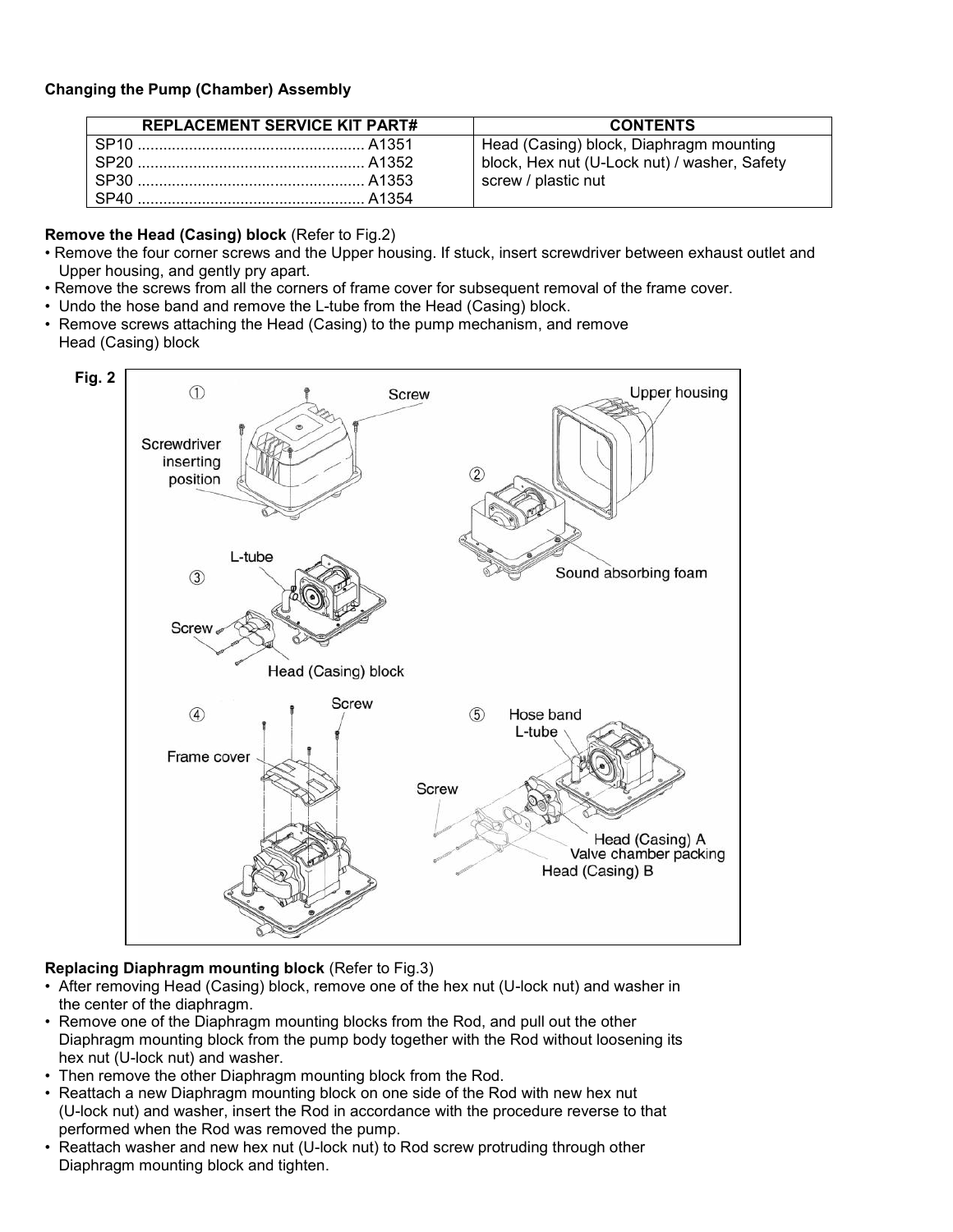# **Changing the Pump (Chamber) Assembly**

| <b>REPLACEMENT SERVICE KIT PART#</b> | <b>CONTENTS</b>                                                                                                |
|--------------------------------------|----------------------------------------------------------------------------------------------------------------|
|                                      | Head (Casing) block, Diaphragm mounting<br>block, Hex nut (U-Lock nut) / washer, Safety<br>screw / plastic nut |

# **Remove the Head (Casing) block** (Refer to Fig.2)

- Remove the four corner screws and the Upper housing. If stuck, insert screwdriver between exhaust outlet and Upper housing, and gently pry apart.
- Remove the screws from all the corners of frame cover for subsequent removal of the frame cover.
- Undo the hose band and remove the L-tube from the Head (Casing) block.
- Remove screws attaching the Head (Casing) to the pump mechanism, and remove Head (Casing) block



# **Replacing Diaphragm mounting block** (Refer to Fig.3)

- After removing Head (Casing) block, remove one of the hex nut (U-lock nut) and washer in the center of the diaphragm.
- Remove one of the Diaphragm mounting blocks from the Rod, and pull out the other Diaphragm mounting block from the pump body together with the Rod without loosening its hex nut (U-lock nut) and washer.
- Then remove the other Diaphragm mounting block from the Rod.
- Reattach a new Diaphragm mounting block on one side of the Rod with new hex nut (U-lock nut) and washer, insert the Rod in accordance with the procedure reverse to that performed when the Rod was removed the pump.
- Reattach washer and new hex nut (U-lock nut) to Rod screw protruding through other Diaphragm mounting block and tighten.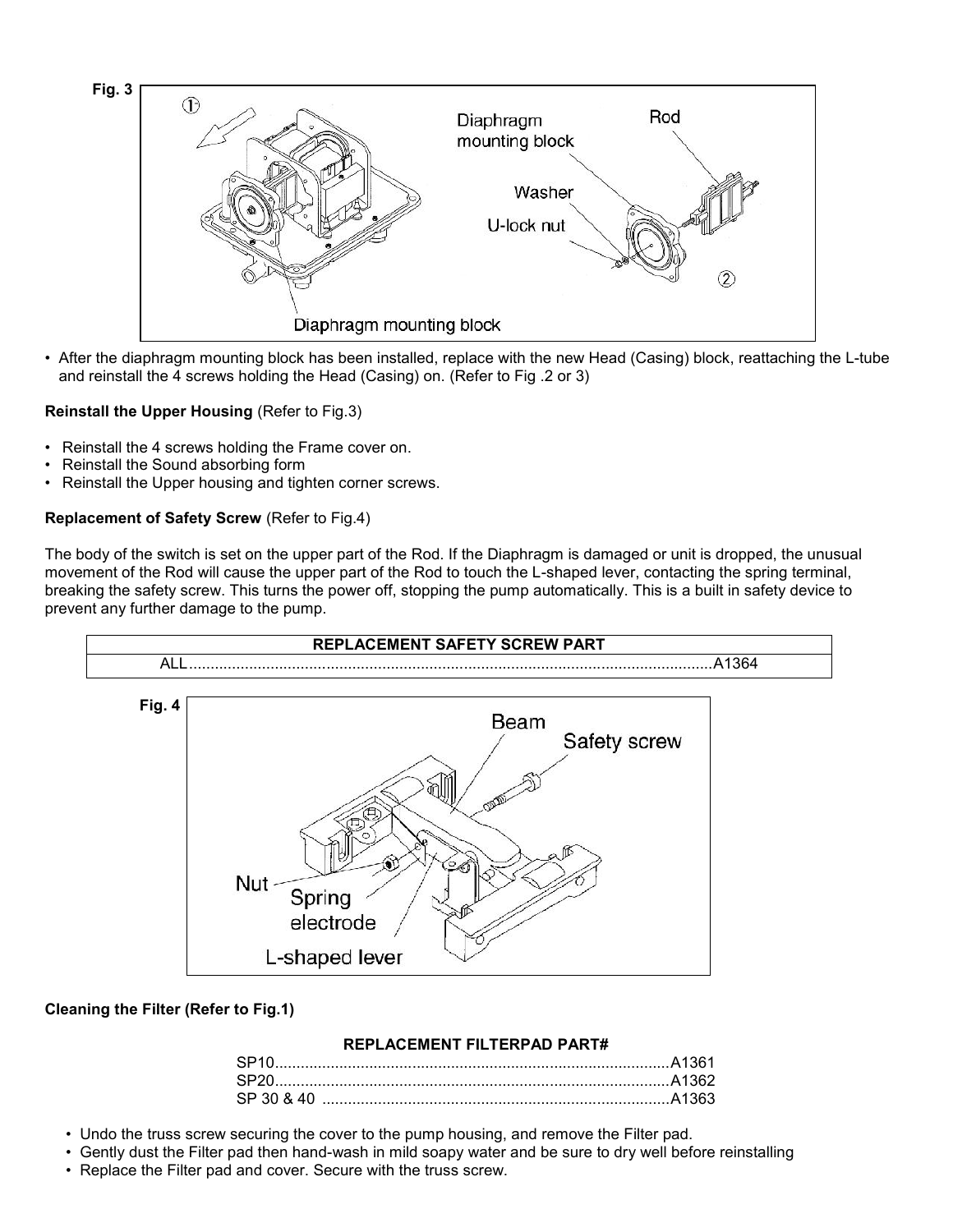

• After the diaphragm mounting block has been installed, replace with the new Head (Casing) block, reattaching the L-tube and reinstall the 4 screws holding the Head (Casing) on. (Refer to Fig .2 or 3)

# **Reinstall the Upper Housing** (Refer to Fig.3)

- Reinstall the 4 screws holding the Frame cover on.
- Reinstall the Sound absorbing form
- Reinstall the Upper housing and tighten corner screws.

# **Replacement of Safety Screw** (Refer to Fig.4)

The body of the switch is set on the upper part of the Rod. If the Diaphragm is damaged or unit is dropped, the unusual movement of the Rod will cause the upper part of the Rod to touch the L-shaped lever, contacting the spring terminal, breaking the safety screw. This turns the power off, stopping the pump automatically. This is a built in safety device to prevent any further damage to the pump.



# **Cleaning the Filter (Refer to Fig.1)**

# **REPLACEMENT FILTERPAD PART#**

| SP20.      |  |
|------------|--|
| SP 30 & 40 |  |

- Undo the truss screw securing the cover to the pump housing, and remove the Filter pad.
- Gently dust the Filter pad then hand-wash in mild soapy water and be sure to dry well before reinstalling
- Replace the Filter pad and cover. Secure with the truss screw.